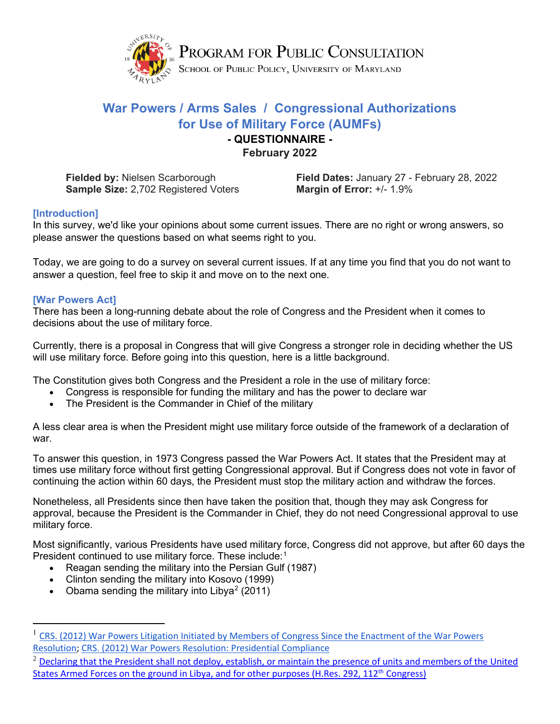

# **War Powers / Arms Sales / Congressional Authorizations for Use of Military Force (AUMFs)**

### **- QUESTIONNAIRE - February 2022**

**Sample Size:** 2,702 Registered Voters **Margin of Error:** +/- 1.9%

**Fielded by:** Nielsen Scarborough **Field Dates:** January 27 - February 28, 2022

## **[Introduction]**

In this survey, we'd like your opinions about some current issues. There are no right or wrong answers, so please answer the questions based on what seems right to you.

Today, we are going to do a survey on several current issues. If at any time you find that you do not want to answer a question, feel free to skip it and move on to the next one.

### **[War Powers Act]**

There has been a long-running debate about the role of Congress and the President when it comes to decisions about the use of military force.

Currently, there is a proposal in Congress that will give Congress a stronger role in deciding whether the US will use military force. Before going into this question, here is a little background.

The Constitution gives both Congress and the President a role in the use of military force:

- Congress is responsible for funding the military and has the power to declare war
- The President is the Commander in Chief of the military

A less clear area is when the President might use military force outside of the framework of a declaration of war.

To answer this question, in 1973 Congress passed the War Powers Act. It states that the President may at times use military force without first getting Congressional approval. But if Congress does not vote in favor of continuing the action within 60 days, the President must stop the military action and withdraw the forces.

Nonetheless, all Presidents since then have taken the position that, though they may ask Congress for approval, because the President is the Commander in Chief, they do not need Congressional approval to use military force.

Most significantly, various Presidents have used military force, Congress did not approve, but after 60 days the President continued to use military force. These include:<sup>[1](#page-0-0)</sup>

- Reagan sending the military into the Persian Gulf (1987)
- Clinton sending the military into Kosovo (1999)
- Obama sending the military into Libya<sup>[2](#page-0-1)</sup> (2011)

<span id="page-0-0"></span><sup>1</sup> [CRS. \(2012\) War Powers Litigation Initiated by Members of Congress Since the Enactment of the War Powers](https://www.everycrsreport.com/reports/RL30352.html#_Toc321725271)  [Resolution;](https://www.everycrsreport.com/reports/RL30352.html#_Toc321725271) [CRS. \(2012\) War Powers Resolution: Presidential Compliance](https://www.everycrsreport.com/files/20120925_RL33532_b949fdc39302f131bf27bdc536cab4c9b51b9567.pdf)

<span id="page-0-1"></span><sup>&</sup>lt;sup>2</sup> Declaring that the President shall not deploy, establish, or maintain the presence of units and members of the United States Armed Forces on the ground in Libya, and for other purposes (H.Res. 292, 112<sup>th</sup> Congress)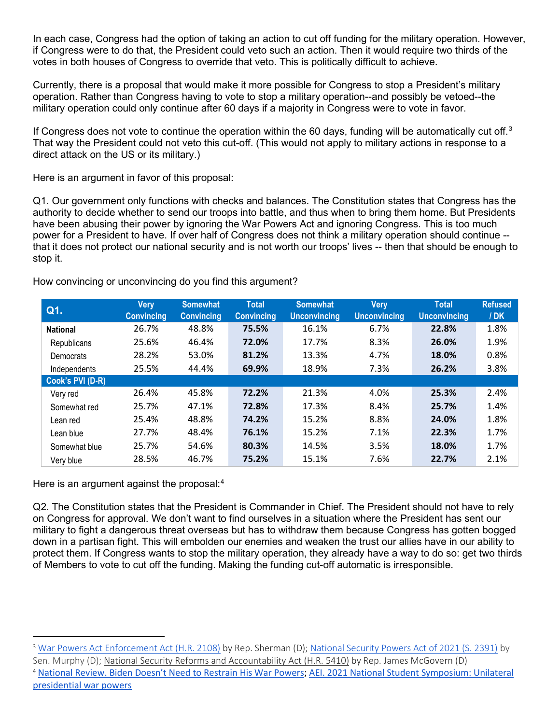In each case, Congress had the option of taking an action to cut off funding for the military operation. However, if Congress were to do that, the President could veto such an action. Then it would require two thirds of the votes in both houses of Congress to override that veto. This is politically difficult to achieve.

Currently, there is a proposal that would make it more possible for Congress to stop a President's military operation. Rather than Congress having to vote to stop a military operation--and possibly be vetoed--the military operation could only continue after 60 days if a majority in Congress were to vote in favor.

If Congress does not vote to continue the operation within the 60 days, funding will be automatically cut off. $3$ That way the President could not veto this cut-off. (This would not apply to military actions in response to a direct attack on the US or its military.)

Here is an argument in favor of this proposal:

Q1. Our government only functions with checks and balances. The Constitution states that Congress has the authority to decide whether to send our troops into battle, and thus when to bring them home. But Presidents have been abusing their power by ignoring the War Powers Act and ignoring Congress. This is too much power for a President to have. If over half of Congress does not think a military operation should continue - that it does not protect our national security and is not worth our troops' lives -- then that should be enough to stop it.

| Q1.              | Very<br><b>Convincing</b> | <b>Somewhat</b><br><b>Convincing</b> | <b>Total</b><br><b>Convincing</b> | <b>Somewhat</b><br><b>Unconvincing</b> | Very<br><b>Unconvincing</b> | <b>Total</b><br><b>Unconvincing</b> | <b>Refused</b><br>/DK |
|------------------|---------------------------|--------------------------------------|-----------------------------------|----------------------------------------|-----------------------------|-------------------------------------|-----------------------|
| <b>National</b>  | 26.7%                     | 48.8%                                | 75.5%                             | 16.1%                                  | 6.7%                        | 22.8%                               | 1.8%                  |
| Republicans      | 25.6%                     | 46.4%                                | 72.0%                             | 17.7%                                  | 8.3%                        | 26.0%                               | 1.9%                  |
| Democrats        | 28.2%                     | 53.0%                                | 81.2%                             | 13.3%                                  | 4.7%                        | 18.0%                               | 0.8%                  |
| Independents     | 25.5%                     | 44.4%                                | 69.9%                             | 18.9%                                  | 7.3%                        | 26.2%                               | 3.8%                  |
| Cook's PVI (D-R) |                           |                                      |                                   |                                        |                             |                                     |                       |
| Very red         | 26.4%                     | 45.8%                                | 72.2%                             | 21.3%                                  | 4.0%                        | 25.3%                               | 2.4%                  |
| Somewhat red     | 25.7%                     | 47.1%                                | 72.8%                             | 17.3%                                  | 8.4%                        | 25.7%                               | 1.4%                  |
| Lean red         | 25.4%                     | 48.8%                                | 74.2%                             | 15.2%                                  | 8.8%                        | 24.0%                               | 1.8%                  |
| Lean blue        | 27.7%                     | 48.4%                                | 76.1%                             | 15.2%                                  | 7.1%                        | 22.3%                               | 1.7%                  |
| Somewhat blue    | 25.7%                     | 54.6%                                | 80.3%                             | 14.5%                                  | 3.5%                        | 18.0%                               | 1.7%                  |
| Very blue        | 28.5%                     | 46.7%                                | 75.2%                             | 15.1%                                  | 7.6%                        | 22.7%                               | 2.1%                  |

How convincing or unconvincing do you find this argument?

Here is an argument against the proposal:<sup>[4](#page-1-1)</sup>

Q2. The Constitution states that the President is Commander in Chief. The President should not have to rely on Congress for approval. We don't want to find ourselves in a situation where the President has sent our military to fight a dangerous threat overseas but has to withdraw them because Congress has gotten bogged down in a partisan fight. This will embolden our enemies and weaken the trust our allies have in our ability to protect them. If Congress wants to stop the military operation, they already have a way to do so: get two thirds of Members to vote to cut off the funding. Making the funding cut-off automatic is irresponsible.

<span id="page-1-1"></span><span id="page-1-0"></span><sup>&</sup>lt;sup>3</sup> [War Powers Act Enforcement Act \(H.R. 2108\)](https://www.congress.gov/bill/117th-congress/house-bill/2108) by Rep. Sherman (D); [National Security Powers Act of 2021 \(S. 2391\)](https://www.congress.gov/bill/117th-congress/senate-bill/2391) by Sen. Murphy (D); [National Security Reforms and Accountability Act \(H.R. 5410\)](https://www.congress.gov/bill/117th-congress/house-bill/5410) by Rep. James McGovern (D) <sup>4</sup> [National Review. Biden Doesn't Need to Restrain His War Powers;](https://www.nationalreview.com/2021/03/biden-doesnt-need-to-restrain-his-war-powers/) [AEI. 2021 National Student Symposium: Unilateral](https://www.aei.org/multimedia/unilateral-presidential-war-powers/)  [presidential war powers](https://www.aei.org/multimedia/unilateral-presidential-war-powers/)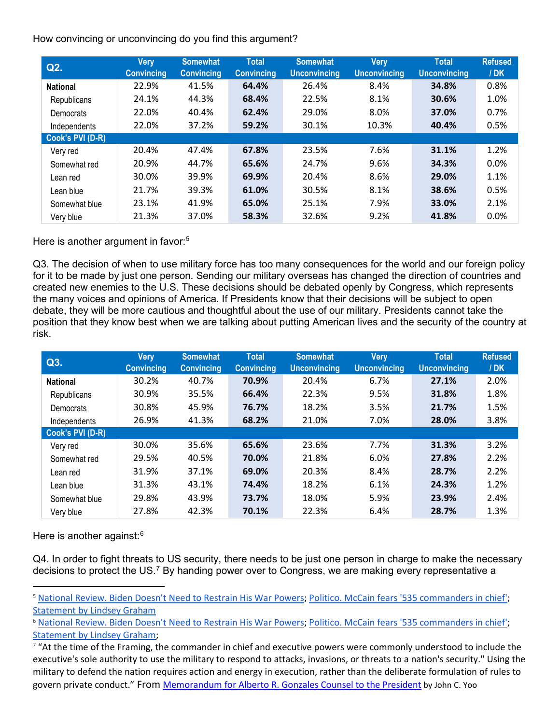How convincing or unconvincing do you find this argument?

| Q2.              | <b>Very</b><br><b>Convincing</b> | <b>Somewhat</b><br><b>Convincing</b> | <b>Total</b><br><b>Convincing</b> | <b>Somewhat</b><br><b>Unconvincing</b> | Very<br><b>Unconvincing</b> | <b>Total</b><br><b>Unconvincing</b> | <b>Refused</b><br>/DK |
|------------------|----------------------------------|--------------------------------------|-----------------------------------|----------------------------------------|-----------------------------|-------------------------------------|-----------------------|
| <b>National</b>  | 22.9%                            | 41.5%                                | 64.4%                             | 26.4%                                  | 8.4%                        | 34.8%                               | 0.8%                  |
| Republicans      | 24.1%                            | 44.3%                                | 68.4%                             | 22.5%                                  | 8.1%                        | 30.6%                               | 1.0%                  |
| Democrats        | 22.0%                            | 40.4%                                | 62.4%                             | 29.0%                                  | 8.0%                        | 37.0%                               | 0.7%                  |
| Independents     | 22.0%                            | 37.2%                                | 59.2%                             | 30.1%                                  | 10.3%                       | 40.4%                               | 0.5%                  |
| Cook's PVI (D-R) |                                  |                                      |                                   |                                        |                             |                                     |                       |
| Very red         | 20.4%                            | 47.4%                                | 67.8%                             | 23.5%                                  | 7.6%                        | 31.1%                               | 1.2%                  |
| Somewhat red     | 20.9%                            | 44.7%                                | 65.6%                             | 24.7%                                  | 9.6%                        | 34.3%                               | 0.0%                  |
| Lean red         | 30.0%                            | 39.9%                                | 69.9%                             | 20.4%                                  | 8.6%                        | 29.0%                               | 1.1%                  |
| Lean blue        | 21.7%                            | 39.3%                                | 61.0%                             | 30.5%                                  | 8.1%                        | 38.6%                               | 0.5%                  |
| Somewhat blue    | 23.1%                            | 41.9%                                | 65.0%                             | 25.1%                                  | 7.9%                        | 33.0%                               | 2.1%                  |
| Very blue        | 21.3%                            | 37.0%                                | 58.3%                             | 32.6%                                  | 9.2%                        | 41.8%                               | 0.0%                  |

Here is another argument in favor:<sup>[5](#page-2-0)</sup>

Q3. The decision of when to use military force has too many consequences for the world and our foreign policy for it to be made by just one person. Sending our military overseas has changed the direction of countries and created new enemies to the U.S. These decisions should be debated openly by Congress, which represents the many voices and opinions of America. If Presidents know that their decisions will be subject to open debate, they will be more cautious and thoughtful about the use of our military. Presidents cannot take the position that they know best when we are talking about putting American lives and the security of the country at risk.

| Q3.              | Very<br><b>Convincing</b> | <b>Somewhat</b><br><b>Convincing</b> | <b>Total</b><br><b>Convincing</b> | <b>Somewhat</b><br><b>Unconvincing</b> | <b>Very</b><br><b>Unconvincing</b> | <b>Total</b><br><b>Unconvincing</b> | <b>Refused</b><br>/ <b>DK</b> |
|------------------|---------------------------|--------------------------------------|-----------------------------------|----------------------------------------|------------------------------------|-------------------------------------|-------------------------------|
| <b>National</b>  | 30.2%                     | 40.7%                                | 70.9%                             | 20.4%                                  | 6.7%                               | 27.1%                               | 2.0%                          |
| Republicans      | 30.9%                     | 35.5%                                | 66.4%                             | 22.3%                                  | 9.5%                               | 31.8%                               | 1.8%                          |
| Democrats        | 30.8%                     | 45.9%                                | 76.7%                             | 18.2%                                  | 3.5%                               | 21.7%                               | 1.5%                          |
| Independents     | 26.9%                     | 41.3%                                | 68.2%                             | 21.0%                                  | 7.0%                               | 28.0%                               | 3.8%                          |
| Cook's PVI (D-R) |                           |                                      |                                   |                                        |                                    |                                     |                               |
| Very red         | 30.0%                     | 35.6%                                | 65.6%                             | 23.6%                                  | 7.7%                               | 31.3%                               | 3.2%                          |
| Somewhat red     | 29.5%                     | 40.5%                                | 70.0%                             | 21.8%                                  | 6.0%                               | 27.8%                               | 2.2%                          |
| Lean red         | 31.9%                     | 37.1%                                | 69.0%                             | 20.3%                                  | 8.4%                               | 28.7%                               | 2.2%                          |
| Lean blue        | 31.3%                     | 43.1%                                | 74.4%                             | 18.2%                                  | 6.1%                               | 24.3%                               | 1.2%                          |
| Somewhat blue    | 29.8%                     | 43.9%                                | 73.7%                             | 18.0%                                  | 5.9%                               | 23.9%                               | 2.4%                          |
| Very blue        | 27.8%                     | 42.3%                                | 70.1%                             | 22.3%                                  | 6.4%                               | 28.7%                               | 1.3%                          |

Here is another against:<sup>[6](#page-2-1)</sup>

Q4. In order to fight threats to US security, there needs to be just one person in charge to make the necessary decisions to protect the US.<sup>[7](#page-2-2)</sup> By handing power over to Congress, we are making every representative a

<span id="page-2-0"></span><sup>&</sup>lt;sup>5</sup> [National Review. Biden Doesn't Need to Restrain His War Powers;](https://www.nationalreview.com/2021/03/biden-doesnt-need-to-restrain-his-war-powers/) [Politico. McCain fears '535 commanders in chief';](https://www.politico.com/story/2013/09/john-mccain-syria-plan-096187) [Statement by Lindsey Graham](https://mobile.twitter.com/lindseygrahamsc/status/1215359133270056960)

<span id="page-2-1"></span><sup>&</sup>lt;sup>6</sup> [National Review. Biden Doesn't Need to Restrain His War Powers;](https://www.nationalreview.com/2021/03/biden-doesnt-need-to-restrain-his-war-powers/) [Politico. McCain fears '535 commanders in chief';](https://www.politico.com/story/2013/09/john-mccain-syria-plan-096187) [Statement by Lindsey Graham;](https://mobile.twitter.com/lindseygrahamsc/status/1215359133270056960)

<span id="page-2-2"></span><sup>&</sup>lt;sup>7</sup> "At the time of the Framing, the commander in chief and executive powers were commonly understood to include the executive's sole authority to use the military to respond to attacks, invasions, or threats to a nation's security." Using the military to defend the nation requires action and energy in execution, rather than the deliberate formulation of rules to govern private conduct." From [Memorandum for Alberto R. Gonzales Counsel to the President](https://www.justice.gov/sites/default/files/opa/legacy/2009/03/09/memomilitaryforcecombatus10232001.pdf) by John C. Yoo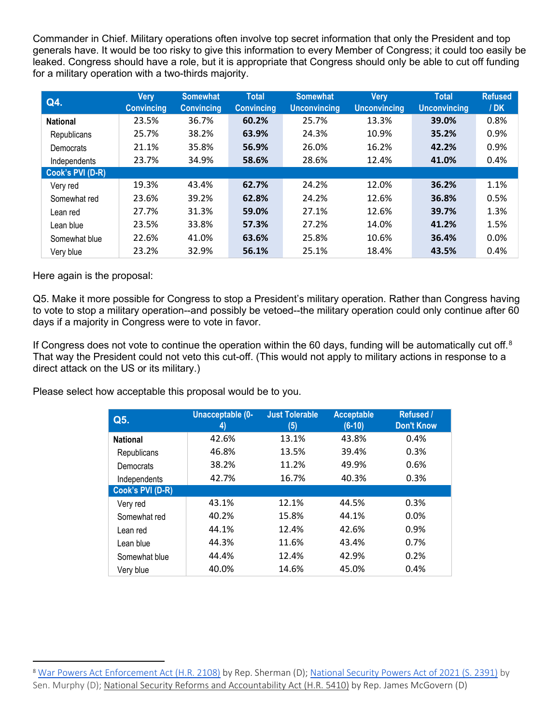Commander in Chief. Military operations often involve top secret information that only the President and top generals have. It would be too risky to give this information to every Member of Congress; it could too easily be leaked. Congress should have a role, but it is appropriate that Congress should only be able to cut off funding for a military operation with a two-thirds majority.

| Q4.              | <b>Very</b><br><b>Convincing</b> | <b>Somewhat</b><br><b>Convincing</b> | <b>Total</b><br><b>Convincing</b> | <b>Somewhat</b><br><b>Unconvincing</b> | <b>Very</b><br><b>Unconvincing</b> | <b>Total</b><br><b>Unconvincing</b> | <b>Refused</b><br>/ <b>DK</b> |
|------------------|----------------------------------|--------------------------------------|-----------------------------------|----------------------------------------|------------------------------------|-------------------------------------|-------------------------------|
| <b>National</b>  | 23.5%                            | 36.7%                                | 60.2%                             | 25.7%                                  | 13.3%                              | 39.0%                               | 0.8%                          |
| Republicans      | 25.7%                            | 38.2%                                | 63.9%                             | 24.3%                                  | 10.9%                              | 35.2%                               | 0.9%                          |
| Democrats        | 21.1%                            | 35.8%                                | 56.9%                             | 26.0%                                  | 16.2%                              | 42.2%                               | 0.9%                          |
| Independents     | 23.7%                            | 34.9%                                | 58.6%                             | 28.6%                                  | 12.4%                              | 41.0%                               | 0.4%                          |
| Cook's PVI (D-R) |                                  |                                      |                                   |                                        |                                    |                                     |                               |
| Very red         | 19.3%                            | 43.4%                                | 62.7%                             | 24.2%                                  | 12.0%                              | 36.2%                               | 1.1%                          |
| Somewhat red     | 23.6%                            | 39.2%                                | 62.8%                             | 24.2%                                  | 12.6%                              | 36.8%                               | 0.5%                          |
| Lean red         | 27.7%                            | 31.3%                                | 59.0%                             | 27.1%                                  | 12.6%                              | 39.7%                               | 1.3%                          |
| Lean blue        | 23.5%                            | 33.8%                                | 57.3%                             | 27.2%                                  | 14.0%                              | 41.2%                               | 1.5%                          |
| Somewhat blue    | 22.6%                            | 41.0%                                | 63.6%                             | 25.8%                                  | 10.6%                              | 36.4%                               | 0.0%                          |
| Very blue        | 23.2%                            | 32.9%                                | 56.1%                             | 25.1%                                  | 18.4%                              | 43.5%                               | 0.4%                          |

Here again is the proposal:

Q5. Make it more possible for Congress to stop a President's military operation. Rather than Congress having to vote to stop a military operation--and possibly be vetoed--the military operation could only continue after 60 days if a majority in Congress were to vote in favor.

If Congress does not vote to continue the operation within the 60 days, funding will be automatically cut off.<sup>[8](#page-3-0)</sup> That way the President could not veto this cut-off. (This would not apply to military actions in response to a direct attack on the US or its military.)

Please select how acceptable this proposal would be to you.

| Q5.              | Unacceptable (0-<br>4) | <b>Just Tolerable</b><br>(5) | <b>Acceptable</b><br>$(6-10)$ | <b>Refused /</b><br><b>Don't Know</b> |
|------------------|------------------------|------------------------------|-------------------------------|---------------------------------------|
| <b>National</b>  | 42.6%                  | 13.1%                        | 43.8%                         | 0.4%                                  |
| Republicans      | 46.8%                  | 13.5%                        | 39.4%                         | 0.3%                                  |
| Democrats        | 38.2%                  | 11.2%                        | 49.9%                         | 0.6%                                  |
| Independents     | 42.7%                  | 16.7%                        | 40.3%                         | 0.3%                                  |
| Cook's PVI (D-R) |                        |                              |                               |                                       |
| Very red         | 43.1%                  | 12.1%                        | 44.5%                         | 0.3%                                  |
| Somewhat red     | 40.2%                  | 15.8%                        | 44.1%                         | 0.0%                                  |
| Lean red         | 44.1%                  | 12.4%                        | 42.6%                         | 0.9%                                  |
| Lean blue        | 44.3%                  | 11.6%                        | 43.4%                         | 0.7%                                  |
| Somewhat blue    | 44.4%                  | 12.4%                        | 42.9%                         | 0.2%                                  |
| Very blue        | 40.0%                  | 14.6%                        | 45.0%                         | 0.4%                                  |

<span id="page-3-0"></span><sup>8</sup> [War Powers Act Enforcement Act \(H.R. 2108\)](https://www.congress.gov/bill/117th-congress/house-bill/2108) by Rep. Sherman (D); [National Security Powers Act of 2021 \(S. 2391\)](https://www.congress.gov/bill/117th-congress/senate-bill/2391) by Sen. Murphy (D); [National Security Reforms and Accountability Act \(H.R. 5410\)](https://www.congress.gov/bill/117th-congress/house-bill/5410) by Rep. James McGovern (D)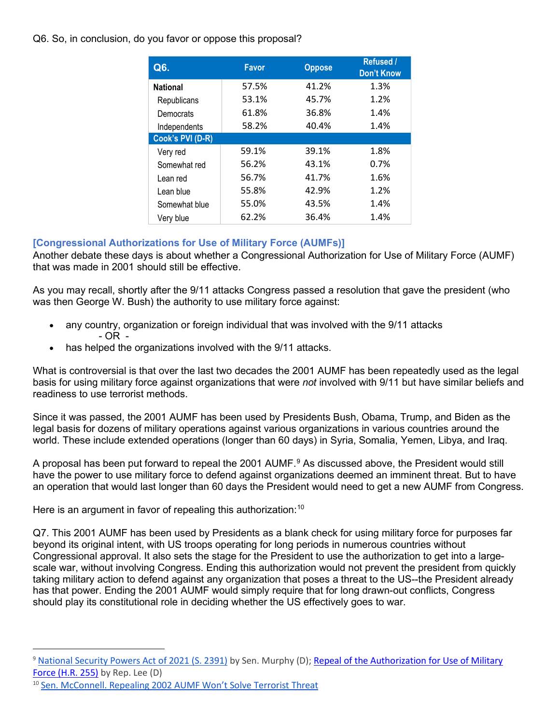Q6. So, in conclusion, do you favor or oppose this proposal?

| Q6.              | <b>Favor</b> | <b>Oppose</b> | <b>Refused /</b><br><b>Don't Know</b> |
|------------------|--------------|---------------|---------------------------------------|
| <b>National</b>  | 57.5%        | 41.2%         | 1.3%                                  |
| Republicans      | 53.1%        | 45.7%         | 1.2%                                  |
| Democrats        | 61.8%        | 36.8%         | 1.4%                                  |
| Independents     | 58.2%        | 40.4%         | 1.4%                                  |
| Cook's PVI (D-R) |              |               |                                       |
| Very red         | 59.1%        | 39.1%         | 1.8%                                  |
| Somewhat red     | 56.2%        | 43.1%         | 0.7%                                  |
| Lean red         | 56.7%        | 41.7%         | 1.6%                                  |
| Lean blue        | 55.8%        | 42.9%         | 1.2%                                  |
| Somewhat blue    | 55.0%        | 43.5%         | 1.4%                                  |
| Very blue        | 62.2%        | 36.4%         | 1.4%                                  |

## **[Congressional Authorizations for Use of Military Force (AUMFs)]**

Another debate these days is about whether a Congressional Authorization for Use of Military Force (AUMF) that was made in 2001 should still be effective.

As you may recall, shortly after the 9/11 attacks Congress passed a resolution that gave the president (who was then George W. Bush) the authority to use military force against:

- any country, organization or foreign individual that was involved with the 9/11 attacks - OR -
- has helped the organizations involved with the 9/11 attacks.

What is controversial is that over the last two decades the 2001 AUMF has been repeatedly used as the legal basis for using military force against organizations that were *not* involved with 9/11 but have similar beliefs and readiness to use terrorist methods.

Since it was passed, the 2001 AUMF has been used by Presidents Bush, Obama, Trump, and Biden as the legal basis for dozens of military operations against various organizations in various countries around the world. These include extended operations (longer than 60 days) in Syria, Somalia, Yemen, Libya, and Iraq.

A proposal has been put forward to repeal the 2001 AUMF.<sup>9</sup> As discussed above, the President would still have the power to use military force to defend against organizations deemed an imminent threat. But to have an operation that would last longer than 60 days the President would need to get a new AUMF from Congress.

Here is an argument in favor of repealing this authorization:<sup>[10](#page-4-1)</sup>

Q7. This 2001 AUMF has been used by Presidents as a blank check for using military force for purposes far beyond its original intent, with US troops operating for long periods in numerous countries without Congressional approval. It also sets the stage for the President to use the authorization to get into a largescale war, without involving Congress. Ending this authorization would not prevent the president from quickly taking military action to defend against any organization that poses a threat to the US--the President already has that power. Ending the 2001 AUMF would simply require that for long drawn-out conflicts, Congress should play its constitutional role in deciding whether the US effectively goes to war.

<span id="page-4-0"></span><sup>9</sup> [National Security Powers Act of 2021 \(S. 2391\)](https://www.congress.gov/bill/117th-congress/senate-bill/2391) by Sen. Murphy (D); [Repeal of the Authorization for Use of Military](https://www.congress.gov/bill/117th-congress/house-bill/255)  [Force \(H.R. 255\)](https://www.congress.gov/bill/117th-congress/house-bill/255) by Rep. Lee (D)

<span id="page-4-1"></span><sup>&</sup>lt;sup>10</sup> [Sen. McConnell. Repealing 2002 AUMF Won't Solve Terrorist Threat](https://www.republicanleader.senate.gov/newsroom/remarks/mcconnell-repealing-2002-aumf-wont-solve-terrorist-threat)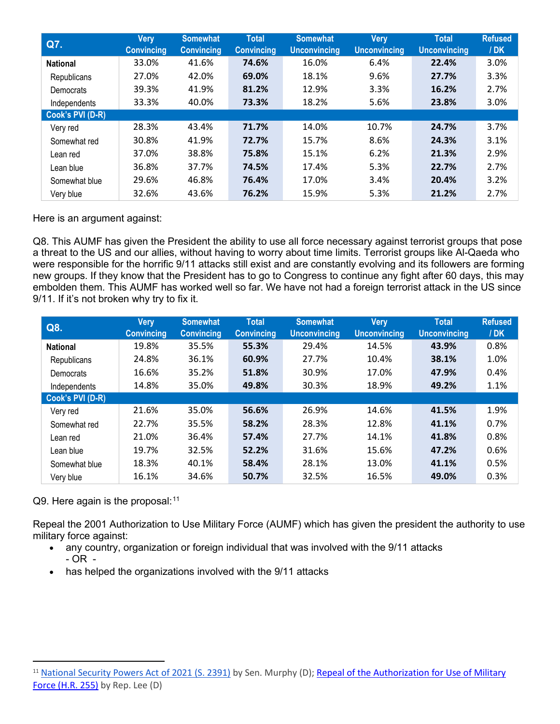| Q7.              | Very<br><b>Convincing</b> | <b>Somewhat</b><br><b>Convincing</b> | <b>Total</b><br><b>Convincing</b> | <b>Somewhat</b><br><b>Unconvincing</b> | <b>Very</b><br><b>Unconvincing</b> | <b>Total</b><br><b>Unconvincing</b> | <b>Refused</b><br>/DK |
|------------------|---------------------------|--------------------------------------|-----------------------------------|----------------------------------------|------------------------------------|-------------------------------------|-----------------------|
| <b>National</b>  | 33.0%                     | 41.6%                                | 74.6%                             | 16.0%                                  | 6.4%                               | 22.4%                               | 3.0%                  |
| Republicans      | 27.0%                     | 42.0%                                | 69.0%                             | 18.1%                                  | 9.6%                               | 27.7%                               | 3.3%                  |
| Democrats        | 39.3%                     | 41.9%                                | 81.2%                             | 12.9%                                  | 3.3%                               | 16.2%                               | 2.7%                  |
| Independents     | 33.3%                     | 40.0%                                | 73.3%                             | 18.2%                                  | 5.6%                               | 23.8%                               | 3.0%                  |
| Cook's PVI (D-R) |                           |                                      |                                   |                                        |                                    |                                     |                       |
| Very red         | 28.3%                     | 43.4%                                | 71.7%                             | 14.0%                                  | 10.7%                              | 24.7%                               | 3.7%                  |
| Somewhat red     | 30.8%                     | 41.9%                                | 72.7%                             | 15.7%                                  | 8.6%                               | 24.3%                               | 3.1%                  |
| Lean red         | 37.0%                     | 38.8%                                | 75.8%                             | 15.1%                                  | 6.2%                               | 21.3%                               | 2.9%                  |
| Lean blue        | 36.8%                     | 37.7%                                | 74.5%                             | 17.4%                                  | 5.3%                               | 22.7%                               | 2.7%                  |
| Somewhat blue    | 29.6%                     | 46.8%                                | 76.4%                             | 17.0%                                  | 3.4%                               | 20.4%                               | 3.2%                  |
| Very blue        | 32.6%                     | 43.6%                                | 76.2%                             | 15.9%                                  | 5.3%                               | 21.2%                               | 2.7%                  |

Here is an argument against:

Q8. This AUMF has given the President the ability to use all force necessary against terrorist groups that pose a threat to the US and our allies, without having to worry about time limits. Terrorist groups like Al-Qaeda who were responsible for the horrific 9/11 attacks still exist and are constantly evolving and its followers are forming new groups. If they know that the President has to go to Congress to continue any fight after 60 days, this may embolden them. This AUMF has worked well so far. We have not had a foreign terrorist attack in the US since 9/11. If it's not broken why try to fix it.

| Q8.              | Very<br><b>Convincing</b> | <b>Somewhat</b><br><b>Convincing</b> | <b>Total</b><br><b>Convincing</b> | <b>Somewhat</b><br><b>Unconvincing</b> | <b>Very</b><br><b>Unconvincing</b> | <b>Total</b><br><b>Unconvincing</b> | <b>Refused</b><br>/ <b>DK</b> |
|------------------|---------------------------|--------------------------------------|-----------------------------------|----------------------------------------|------------------------------------|-------------------------------------|-------------------------------|
| <b>National</b>  | 19.8%                     | 35.5%                                | 55.3%                             | 29.4%                                  | 14.5%                              | 43.9%                               | 0.8%                          |
| Republicans      | 24.8%                     | 36.1%                                | 60.9%                             | 27.7%                                  | 10.4%                              | 38.1%                               | 1.0%                          |
| Democrats        | 16.6%                     | 35.2%                                | 51.8%                             | 30.9%                                  | 17.0%                              | 47.9%                               | 0.4%                          |
| Independents     | 14.8%                     | 35.0%                                | 49.8%                             | 30.3%                                  | 18.9%                              | 49.2%                               | 1.1%                          |
| Cook's PVI (D-R) |                           |                                      |                                   |                                        |                                    |                                     |                               |
| Very red         | 21.6%                     | 35.0%                                | 56.6%                             | 26.9%                                  | 14.6%                              | 41.5%                               | 1.9%                          |
| Somewhat red     | 22.7%                     | 35.5%                                | 58.2%                             | 28.3%                                  | 12.8%                              | 41.1%                               | 0.7%                          |
| Lean red         | 21.0%                     | 36.4%                                | 57.4%                             | 27.7%                                  | 14.1%                              | 41.8%                               | 0.8%                          |
| Lean blue        | 19.7%                     | 32.5%                                | 52.2%                             | 31.6%                                  | 15.6%                              | 47.2%                               | 0.6%                          |
| Somewhat blue    | 18.3%                     | 40.1%                                | 58.4%                             | 28.1%                                  | 13.0%                              | 41.1%                               | 0.5%                          |
| Very blue        | 16.1%                     | 34.6%                                | 50.7%                             | 32.5%                                  | 16.5%                              | 49.0%                               | 0.3%                          |

Q9. Here again is the proposal: $^{\rm 11}$  $^{\rm 11}$  $^{\rm 11}$ 

Repeal the 2001 Authorization to Use Military Force (AUMF) which has given the president the authority to use military force against:

- any country, organization or foreign individual that was involved with the 9/11 attacks  $-$  OR  $-$
- has helped the organizations involved with the 9/11 attacks

<span id="page-5-0"></span><sup>&</sup>lt;sup>11</sup> [National Security Powers Act of 2021 \(S. 2391\)](https://www.congress.gov/bill/117th-congress/senate-bill/2391) by Sen. Murphy (D); Repeal of the Authorization for Use of Military [Force \(H.R. 255\)](https://www.congress.gov/bill/117th-congress/house-bill/255) by Rep. Lee (D)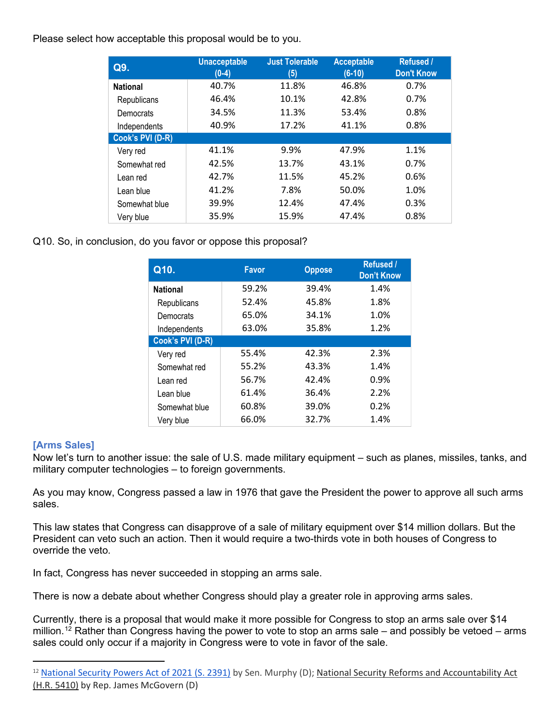Please select how acceptable this proposal would be to you.

| Q9.              | <b>Unacceptable</b><br>$(0-4)$ | <b>Just Tolerable</b><br>(5) | <b>Acceptable</b><br>$(6-10)$ | <b>Refused /</b><br><b>Don't Know</b> |
|------------------|--------------------------------|------------------------------|-------------------------------|---------------------------------------|
| <b>National</b>  | 40.7%                          | 11.8%                        | 46.8%                         | 0.7%                                  |
| Republicans      | 46.4%                          | 10.1%                        | 42.8%                         | 0.7%                                  |
| Democrats        | 34.5%                          | 11.3%                        | 53.4%                         | 0.8%                                  |
| Independents     | 40.9%                          | 17.2%                        | 41.1%                         | 0.8%                                  |
| Cook's PVI (D-R) |                                |                              |                               |                                       |
| Very red         | 41.1%                          | 9.9%                         | 47.9%                         | 1.1%                                  |
| Somewhat red     | 42.5%                          | 13.7%                        | 43.1%                         | 0.7%                                  |
| Lean red         | 42.7%                          | 11.5%                        | 45.2%                         | 0.6%                                  |
| Lean blue        | 41.2%                          | 7.8%                         | 50.0%                         | 1.0%                                  |
| Somewhat blue    | 39.9%                          | 12.4%                        | 47.4%                         | 0.3%                                  |
| Very blue        | 35.9%                          | 15.9%                        | 47.4%                         | 0.8%                                  |

Q10. So, in conclusion, do you favor or oppose this proposal?

| Q10.             | <b>Favor</b> | <b>Oppose</b> | <b>Refused /</b><br><b>Don't Know</b> |
|------------------|--------------|---------------|---------------------------------------|
| <b>National</b>  | 59.2%        | 39.4%         | 1.4%                                  |
| Republicans      | 52.4%        | 45.8%         | 1.8%                                  |
| Democrats        | 65.0%        | 34.1%         | 1.0%                                  |
| Independents     | 63.0%        | 35.8%         | 1.2%                                  |
| Cook's PVI (D-R) |              |               |                                       |
| Very red         | 55.4%        | 42.3%         | 2.3%                                  |
| Somewhat red     | 55.2%        | 43.3%         | 1.4%                                  |
| Lean red         | 56.7%        | 42.4%         | 0.9%                                  |
| Lean blue        | 61.4%        | 36.4%         | 2.2%                                  |
| Somewhat blue    | 60.8%        | 39.0%         | 0.2%                                  |
| Very blue        | 66.0%        | 32.7%         | 1.4%                                  |

## **[Arms Sales]**

Now let's turn to another issue: the sale of U.S. made military equipment – such as planes, missiles, tanks, and military computer technologies – to foreign governments.

As you may know, Congress passed a law in 1976 that gave the President the power to approve all such arms sales.

This law states that Congress can disapprove of a sale of military equipment over \$14 million dollars. But the President can veto such an action. Then it would require a two-thirds vote in both houses of Congress to override the veto.

In fact, Congress has never succeeded in stopping an arms sale.

There is now a debate about whether Congress should play a greater role in approving arms sales.

Currently, there is a proposal that would make it more possible for Congress to stop an arms sale over \$14 million.<sup>[12](#page-6-0)</sup> Rather than Congress having the power to vote to stop an arms sale – and possibly be vetoed – arms sales could only occur if a majority in Congress were to vote in favor of the sale.

<span id="page-6-0"></span><sup>&</sup>lt;sup>12</sup> [National Security Powers Act of 2021 \(S. 2391\)](https://www.congress.gov/bill/117th-congress/senate-bill/2391) by Sen. Murphy (D); National Security Reforms and Accountability Act [\(H.R. 5410\)](https://www.congress.gov/bill/117th-congress/house-bill/5410) by Rep. James McGovern (D)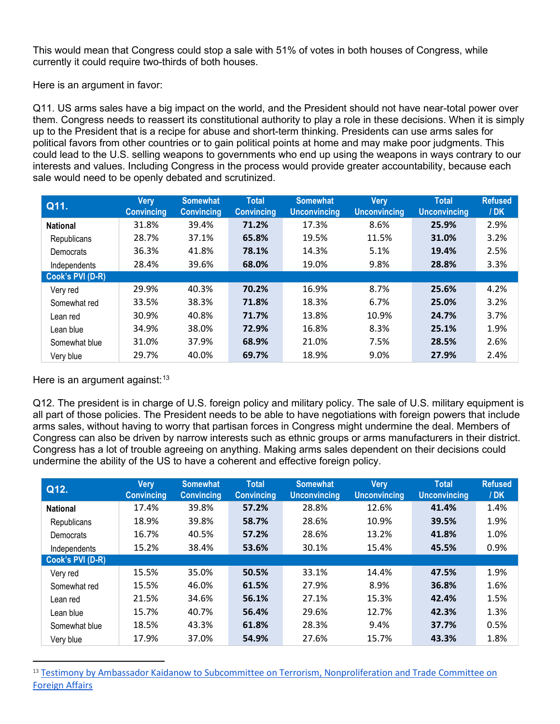This would mean that Congress could stop a sale with 51% of votes in both houses of Congress, while currently it could require two-thirds of both houses.

Here is an argument in favor:

Q11. US arms sales have a big impact on the world, and the President should not have near-total power over them. Congress needs to reassert its constitutional authority to play a role in these decisions. When it is simply up to the President that is a recipe for abuse and short-term thinking. Presidents can use arms sales for political favors from other countries or to gain political points at home and may make poor judgments. This could lead to the U.S. selling weapons to governments who end up using the weapons in ways contrary to our interests and values. Including Congress in the process would provide greater accountability, because each sale would need to be openly debated and scrutinized.

| Q11.             | <b>Very</b><br><b>Convincing</b> | <b>Somewhat</b><br><b>Convincing</b> | <b>Total</b><br><b>Convincing</b> | <b>Somewhat</b><br><b>Unconvincing</b> | <b>Very</b><br><b>Unconvincing</b> | <b>Total</b><br><b>Unconvincing</b> | <b>Refused</b><br>/ <b>DK</b> |
|------------------|----------------------------------|--------------------------------------|-----------------------------------|----------------------------------------|------------------------------------|-------------------------------------|-------------------------------|
| <b>National</b>  | 31.8%                            | 39.4%                                | 71.2%                             | 17.3%                                  | 8.6%                               | 25.9%                               | 2.9%                          |
| Republicans      | 28.7%                            | 37.1%                                | 65.8%                             | 19.5%                                  | 11.5%                              | 31.0%                               | 3.2%                          |
| Democrats        | 36.3%                            | 41.8%                                | 78.1%                             | 14.3%                                  | 5.1%                               | 19.4%                               | 2.5%                          |
| Independents     | 28.4%                            | 39.6%                                | 68.0%                             | 19.0%                                  | 9.8%                               | 28.8%                               | 3.3%                          |
| Cook's PVI (D-R) |                                  |                                      |                                   |                                        |                                    |                                     |                               |
| Very red         | 29.9%                            | 40.3%                                | 70.2%                             | 16.9%                                  | 8.7%                               | 25.6%                               | 4.2%                          |
| Somewhat red     | 33.5%                            | 38.3%                                | 71.8%                             | 18.3%                                  | 6.7%                               | 25.0%                               | 3.2%                          |
| Lean red         | 30.9%                            | 40.8%                                | 71.7%                             | 13.8%                                  | 10.9%                              | 24.7%                               | 3.7%                          |
| Lean blue        | 34.9%                            | 38.0%                                | 72.9%                             | 16.8%                                  | 8.3%                               | 25.1%                               | 1.9%                          |
| Somewhat blue    | 31.0%                            | 37.9%                                | 68.9%                             | 21.0%                                  | 7.5%                               | 28.5%                               | 2.6%                          |
| Very blue        | 29.7%                            | 40.0%                                | 69.7%                             | 18.9%                                  | 9.0%                               | 27.9%                               | 2.4%                          |

Here is an argument against:  $13$ 

Q12. The president is in charge of U.S. foreign policy and military policy. The sale of U.S. military equipment is all part of those policies. The President needs to be able to have negotiations with foreign powers that include arms sales, without having to worry that partisan forces in Congress might undermine the deal. Members of Congress can also be driven by narrow interests such as ethnic groups or arms manufacturers in their district. Congress has a lot of trouble agreeing on anything. Making arms sales dependent on their decisions could undermine the ability of the US to have a coherent and effective foreign policy.

| Q12.             | <b>Very</b><br><b>Convincing</b> | <b>Somewhat</b><br><b>Convincing</b> | <b>Total</b><br><b>Convincing</b> | <b>Somewhat</b><br><b>Unconvincing</b> | <b>Very</b><br><b>Unconvincing</b> | <b>Total</b><br><b>Unconvincing</b> | <b>Refused</b><br>/DK |
|------------------|----------------------------------|--------------------------------------|-----------------------------------|----------------------------------------|------------------------------------|-------------------------------------|-----------------------|
| <b>National</b>  | 17.4%                            | 39.8%                                | 57.2%                             | 28.8%                                  | 12.6%                              | 41.4%                               | 1.4%                  |
| Republicans      | 18.9%                            | 39.8%                                | 58.7%                             | 28.6%                                  | 10.9%                              | 39.5%                               | 1.9%                  |
| Democrats        | 16.7%                            | 40.5%                                | 57.2%                             | 28.6%                                  | 13.2%                              | 41.8%                               | 1.0%                  |
| Independents     | 15.2%                            | 38.4%                                | 53.6%                             | 30.1%                                  | 15.4%                              | 45.5%                               | 0.9%                  |
| Cook's PVI (D-R) |                                  |                                      |                                   |                                        |                                    |                                     |                       |
| Very red         | 15.5%                            | 35.0%                                | 50.5%                             | 33.1%                                  | 14.4%                              | 47.5%                               | 1.9%                  |
| Somewhat red     | 15.5%                            | 46.0%                                | 61.5%                             | 27.9%                                  | 8.9%                               | 36.8%                               | 1.6%                  |
| Lean red         | 21.5%                            | 34.6%                                | 56.1%                             | 27.1%                                  | 15.3%                              | 42.4%                               | 1.5%                  |
| Lean blue        | 15.7%                            | 40.7%                                | 56.4%                             | 29.6%                                  | 12.7%                              | 42.3%                               | 1.3%                  |
| Somewhat blue    | 18.5%                            | 43.3%                                | 61.8%                             | 28.3%                                  | 9.4%                               | 37.7%                               | 0.5%                  |
| Very blue        | 17.9%                            | 37.0%                                | 54.9%                             | 27.6%                                  | 15.7%                              | 43.3%                               | 1.8%                  |

<span id="page-7-0"></span><sup>13</sup> Testimony by Ambassador Kaidanow to Subcommittee on Terrorism, Nonproliferation and Trade Committee on [Foreign Affairs](https://docs.house.gov/meetings/FA/FA18/20170615/106129/HHRG-115-FA18-Wstate-KaidanowT-20170615.pdf)